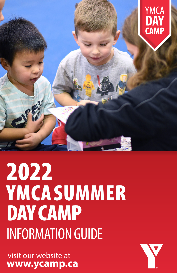

# 2022 **YMCA SUMMER** DAY CAMP INFORMATION GUIDE

 visit our website at **www.ycamp.ca**

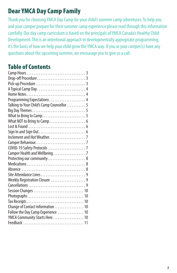# Dear YMCA Day Camp Family

Thank you for choosing YMCA Day Camp for your child's summer camp adventures. To help you and your camper prepare for their summer camp experience please read through this information carefully. Our day camp curriculum is based on the principals of YMCA Canada's Healthy Child Development. This is an intentional approach to developmentally appropriate programming; it's the basis of how we help your child grow the YMCA way. If you or your camper(s) have any questions about the upcoming summer, we encourage you to give us a call.

# Table of Contents

| Programming Expectations  4               |  |
|-------------------------------------------|--|
| Talking to Your Child's Camp Counsellor 5 |  |
|                                           |  |
|                                           |  |
|                                           |  |
|                                           |  |
|                                           |  |
|                                           |  |
|                                           |  |
|                                           |  |
| Camper Health and Wellbeing. 7            |  |
| Protecting our community 8                |  |
|                                           |  |
|                                           |  |
| Site Attendance Lines9                    |  |
| Weekly Registration Closure 9             |  |
|                                           |  |
|                                           |  |
|                                           |  |
|                                           |  |
|                                           |  |
| Follow the Day Camp Experience  10        |  |
| YMCA Community Starts Here 10             |  |
|                                           |  |
|                                           |  |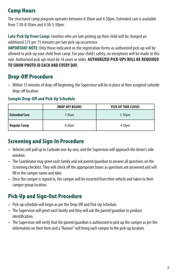# Camp Hours

The structured camp program operates between 8:30am and 4:30pm. Extended care is available from 7:30-8:30am and 4:30-5:30pm.

**Late Pick Up from Camp:** Families who are late picking up their child will be charged an additional \$15 per 15 minutes per late pick-up occurrence.

**IMPORTANT NOTE:** Only those indicated on the registration forms as authorized pick-up will be allowed to pick-up your child from camp. For your child's safety, no exceptions will be made to this rule. Authorized pick ups must be 16 years or older. **AUTHORIZED PICK-UPS WILL BE REQUIRED TO SHOW PHOTO ID EACH AND EVERY DAY.**

## Drop-Off Procedure

• Within 15 minutes of drop-off beginning, the Supervisor will be in place at their assigned curbside drop-off location.

#### **Sample Drop-Off and Pick-Up Schedule**

|                      | <b>DROP-OFF BEGINS</b> | <b>PICK-UP TIME CLOSES</b> |
|----------------------|------------------------|----------------------------|
| <b>Extended Care</b> | 7:30am                 | 5:30 <sub>pm</sub>         |
| <b>Regular Camp</b>  | 8:30am                 | 4:30 <sub>pm</sub>         |

#### Screening and Sign-In Procedure

- Vehicles will pull up to Curbside one-by-one, and the Supervisor will approach the driver's side window.
- The Coordinator may greet each family and ask parent/guardian to answer all questions on the Screening checklist. They will check off the appropriate boxes as questions are answered and will fill in the camper name and date.
- Once the camper is signed in, the camper will be escorted from their vehicle and taken to their camper group location.

## Pick-Up and Sign-Out Procedure

- Pick-up schedule will begin as per the Drop-Off and Pick-Up Schedule.
- The Supervisor will greet each family and they will ask the parent/guardian to produce identification.
- The Supervisor will verify that the parent/guardian is authorized to pick up the camper as per the information on their form and a "Runner" will bring each camper to the pick-up location.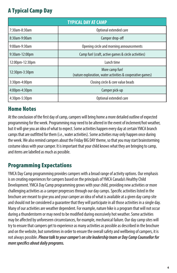## A Typical Camp Day

| <b>TYPICAL DAY AT CAMP</b> |                                                                              |  |  |  |
|----------------------------|------------------------------------------------------------------------------|--|--|--|
| 7:30am-8:30am              | Optional extended care                                                       |  |  |  |
| 8:30am-9:00am              | Camper drop-off                                                              |  |  |  |
| 9:00am-9:30am              | Opening circle and morning announcements                                     |  |  |  |
| 9:30am-12:00pm             | Camp fun! (craft, active games & circle activities)                          |  |  |  |
| 12:00pm-12:30pm            | Lunch time                                                                   |  |  |  |
| 12:30pm-3:30pm             | More camp fun!<br>(nature exploration, water activities & cooperative games) |  |  |  |
| $3:30$ pm-4:00pm           | Closing circle & core value beads                                            |  |  |  |
| 4:00pm-4:30pm              | Camper pick-up                                                               |  |  |  |
| $4:30$ pm $-5:30$ pm       | Optional extended care                                                       |  |  |  |

#### Home Notes

At the conclusion of the first day of camp, campers will bring home a more detailed outline of expected programming for the week. Programming may need to be altered in the event of inclement/hot weather, but it will give you an idea of what to expect. Some activities happen every day at certain YMCA branch camps that are outfitted for them (i.e., water activities). Some activities may only happen once during the week. We also remind campers about the Friday BIG DAY theme, so that you may start brainstorming costume ideas with your camper. It is important that your child knows what they are bringing to camp, and items are labelled as much as possible.

## Programming Expectations

YMCA Day Camp programming provides campers with a broad range of activity options. Our emphasis is on creating experiences for campers based on the principals of YMCA Canada's Healthy Child Development. YMCA Day Camp programming grows with your child, providing new activities or more challenging activities as a camper progresses through our day camps. Specific activities listed in the brochure are meant to give you and your camper an idea of what is available at a given day camp site and should not be considered a guarantee that they will participate in all those activities in a single day. Many of our activities are weather dependent. For example, nature hike is a program that will not occur during a thunderstorm or may need to be modified during excessively hot weather. Some activities may be affected by unforeseen circumstances, for example, mechanical failure. Our day camp sites will try to ensure that campers get to experience as many activities as possible as described in the brochure and on the website, but sometimes in order to ensure the overall safety and wellbeing of campers, it is not always possible. *Please talk to your camper's on site leadership team or Day Camp Counsellor for more specifics about daily programs.*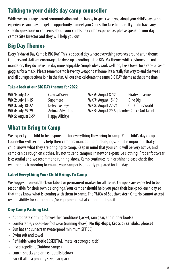## Talking to your child's day camp counsellor

While we encourage parent communication and are happy to speak with you about your child's day camp experience, you may not get an opportunity to meet your Counsellor face-to-face. If you do have any specific questions or concerns about your child's day camp experience, please speak to your day camp's Site Director and they will help you out.

# Big Day Themes

Every Friday at Day Camp is BIG DAY! This is a special day where everything revolves around a fun theme. Campers and staff are encouraged to dress up according to the BIG DAY theme; while costumes are not mandatory they do make the day more enjoyable. Simple ideas work well too, like a towel for a cape or swim goggles for a mask. Please remember to leave toy weapons at home. It's a really fun way to end the week and all our age sections join in the fun. All our sites celebrate the same BIG DAY theme at the same time!

#### **Take a look at our BIG DAY themes for 2022**

| <b>WK 1: July 4-8</b>   | <b>Carnival Week</b>  | <b>WK 6: August 8-12</b>                          | Pirate's Treasure |
|-------------------------|-----------------------|---------------------------------------------------|-------------------|
| <b>WK 2: July 11-15</b> | Superhero             | <b>WK 7: August 15-19</b>                         | Dino Dia          |
| <b>WK 3: July 18-22</b> | Detective Days        | <b>WK 8: August 22-26</b>                         | Out Of This World |
| <b>WK 4: July 25-29</b> | Animal Adventure      | <b>WK 9:</b> August 29-September 2 Y's Got Talent |                   |
| WK 5: August $2-5$ *    | <b>Happy Allidays</b> |                                                   |                   |

#### What to Bring to Camp

We expect your child to be responsible for everything they bring to camp. Your child's day camp Counsellor will certainly help their campers manage their belongings, but it is important that your child knows what they are bringing to camp. Keep in mind that your child will be very active, and camp can be rough on clothes. Try not to send campers in new or expensive clothing. Proper footwear is essential and we recommend running shoes. Camp continues rain or shine; please check the weather each morning to ensure your camper is properly prepared for the day.

#### Label Everything Your Child Brings To Camp

We suggest iron-on/stick-on labels or permanent marker for all items. Campers are expected to be responsible for their own belongings. Your camper should help you pack their backpack each day so that they know what is coming with them to camp. The YMCA of Southwestern Ontario cannot accept responsibility for clothing and/or equipment lost at camp or in transit.

#### Day Camp Packing List

- Appropriate clothing for weather conditions (jacket, rain gear, and rubber boots)
- Comfortable, closed-toe footwear (running shoes). **No flip-flops, Crocs or sandals, please!**
- Sun hat and sunscreen (waterproof minimum SPF 30)
- Swim suit and towel
- Refillable water bottle ESSENTIAL (metal or strong plastic)
- Insect repellent (Outdoor camps)
- Lunch, snacks and drinks (details below)
- Pack it all in a properly sized backpack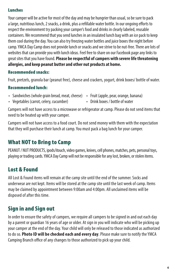#### Lunches

Your camper will be active for most of the day and may be hungrier than usual, so be sure to pack a large, nutritious lunch, 2 snacks, a drink, plus a refillable water bottle. In our ongoing efforts to respect the environment try packing your camper's food and drinks in clearly labeled, reusable containers. We recommend that you send lunches in an insulated lunch bag with an ice pack to keep them cool during the day. You can also try freezing water bottles and juice boxes the night before camp. YMCA Day Camp does not provide lunch or snacks and we strive to be nut-free. There are lots of websites that can provide you with lunch ideas. Feel free to share on our Facebook page any links to great sites that you have found. **Please be respectful of campers with severe life threatening allergies, and keep peanut butter and other nut products at home.**

#### Recommended snacks:

Fruit, pretzels, granola bar (peanut free), cheese and crackers, yogurt, drink boxes/ bottle of water.

#### Recommended lunch:

- Sandwiches (whole grain bread, meat, cheese) Fruit (apple, pear, orange, banana)
	-
- Vegetables (carrot, celery, cucumber)
- Drink boxes / bottle of water

Campers will not have access to a microwave or refrigerator at camp. Please do not send items that need to be heated up with your camper.

Campers will not have access to a food court. Do not send money with them with the expectation that they will purchase their lunch at camp. You must pack a bag lunch for your camper.

#### What NOT to Bring to Camp

PEANUT / NUT PRODUCTS, ipods/itouch, video games, knives, cell phones, matches, pets, personal toys, playing or trading cards. YMCA Day Camp will not be responsible for any lost, broken, or stolen items.

#### Lost & Found

All Lost & Found items will remain at the camp site until the end of the summer. Socks and underwear are not kept. Items will be stored at the camp site until the last week of camp. Items may be claimed by appointment between 9:00am and 4:00pm. All unclaimed items will be disposed of after this time.

# Sign in and Sign out

In order to ensure the safety of campers, we require all campers to be signed in and out each day by a parent or guardian 16 years of age or older. At sign in you will indicate who will be picking up your camper at the end of the day. Your child will only be released to those indicated as authorized to do so. **Photo ID will be checked each and every day**. Please make sure to notify the YMCA Camping Branch office of any changes to those authorized to pick up your child.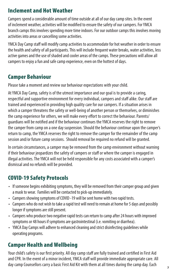#### Inclement and Hot Weather

Campers spend a considerable amount of time outside at all of our day camp sites. In the event of inclement weather, activities will be modified to ensure the safety of our campers. For YMCA branch camps this involves spending more time indoors. For our outdoor camps this involves moving activities into areas or cancelling some activities.

YMCA Day Camp staff will modify camp activities to accommodate for hot weather in order to ensure the health and safety of all participants. This will include frequent water breaks, water activities, less active games and the use of shaded and cooler areas of the camps. These precautions will allow all campers to enjoy a fun and safe camp experience, even on the hottest of days.

## Camper Behaviour

Please take a moment and review our behaviour expectations with your child.

At YMCA Day Camp, safety is of the utmost importance and our goal is to provide a caring, respectful and supportive environment for every individual, campers and staff alike. Our staff are trained and experienced in providing high quality care for our campers. If a situation arises in which a camper threatens the safety or well-being of another person or themselves, or diminishes the camp experience for others, we will make every effort to correct the behaviour. Parents/ guardians will be notified and if the behaviour continues the YMCA reserves the right to remove the camper from camp on a one day suspension. Should the behaviour continue upon the camper's return to camp, the YMCA reserves the right to remove the camper for the remainder of the camp session and/or future camp sessions. Should removal be required no refund will be granted.

In certain circumstances, a camper may be removed from the camp environment without warning if their behaviour jeopardizes the safety of campers or staff or where the camper is engaged in illegal activities. The YMCA will not be held responsible for any costs associated with a camper's dismissal and no refunds will be provided.

# COVID-19 Safety Protocols

- If someone begins exhibiting symptoms, they will be removed from their camper group and given a mask to wear. Families will be contacted to pick-up immediately.
- Campers showing symptoms of COVID -19 will be sent home with two rapid tests.
- Campers who do not wish to take a rapid test will need to remain at home for 5 days and possibly longer if symptoms are still present.
- Campers who produce two negative rapid tests can return to camp after 24 hours with improved symptoms or 48 hours if symptoms are gastrointestinal (i.e. vomiting or diarrhea).
- YMCA Day Camps will adhere to enhanced cleaning and strict disinfecting guidelines while operating programs.

# Camper Health and Wellbeing

Your child's safety is our first priority. All day camp staff are fully trained and certified in First Aid and CPR. In the event of a minor incident, YMCA staff will provide immediate appropriate care. All day camp Counsellors carry a basic First Aid Kit with them at all times during the camp day. Each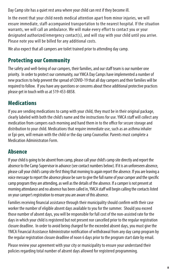Day Camp site has a quiet rest area where your child can rest if they become ill.

In the event that your child needs medical attention apart from minor injuries, we will ensure immediate, staff-accompanied transportation to the nearest hospital. If the situation warrants, we will call an ambulance. We will make every effort to contact you or your designated authorized/emergency contact(s), and will stay with your child until you arrive. Please note you will be billed for any additional costs.

We also expect that all campers are toilet trained prior to attending day camp.

# Protecting our Community

The safety and well-being of our campers, their families, and our staff team is our number one priority. In order to protect our community, our YMCA Day Camps have implemented a number of new practices to help prevent the spread of COVID-19 that all day campers and their families will be required to follow. If you have any questions or concerns about these additional protective practices please get in touch with us at 519-453-8858.

# **Medications**

If you are sending medications to camp with your child, they must be in their original package, clearly labeled with both the child's name and the instructions for use. YMCA staff will collect any medication from campers each morning and hand them in to the office for secure storage and distribution to your child. Medications that require immediate use, such as an asthma inhaler or Epi-pen, will remain with the child or the day camp Counsellor. Parents must complete a Medication Administraton Form.

## Absence

If your child is going to be absent from camp, please call your child's camp site directly and report the absence to the Camp Supervisor in advance (see contact numbers below). If it is an unforeseen absence, please call your child's camp site first thing that morning to again report the absence. If you are leaving a voice message to report the absence please be sure to give the full name of your camper and the specific camp program they are attending, as well as the details of the absence. If a camper is not present at morning attendance and no absence has been called in, YMCA staff will begin calling the contacts listed on your camper's registration to ensure you are aware of this absence.

Families receiving financial assistance through their municipality should confirm with their case worker the number of eligible absent days available to you for the summer. Should you exceed those number of absent days, you will be responsible for full cost of the non-assisted rate for the days in which your child is registered but not present nor cancelled prior to the regular registration closure deadline. In order to avoid being charged for the exceeded absent days, you must give the YMCA Financial Assistance Administrator notification of withdrawal from any day camp program by the regular registration closure deadline of noon 6 days prior to the program start date by email.

Please review your agreement with your city or municipality to ensure your understand their policies regarding total number of absent days allowed for registered programming.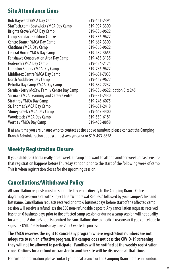#### Site Attendance Lines

| <b>Bob Hayward YMCA Day Camp</b>            | 519-451-2395                  |
|---------------------------------------------|-------------------------------|
| StarTech.com (Bostwick) YMCA Day Camp       | 519-907-3300                  |
| <b>Brights Grove YMCA Day Camp</b>          | 519-336-9622                  |
| Camp Saredaca Outdoor Centre                | 519-336-9622                  |
| Centre Branch YMCA Day Camp                 | 519-667-3300                  |
| Chatham YMCA Day Camp                       | 519-360-9622                  |
| Central Huron YMCA Day Camp                 | 519-482-3655                  |
| Fanshawe Conservation Area Day Camp         | 519-455-3135                  |
| Goderich YMCA Day Camp                      | 519-524-2125                  |
| Lambton Shores YMCA Day Camp                | 519-786-9622                  |
| Middlesex Centre YMCA Day Camp              | 519-601-7033                  |
| North Middlesex Day Camp                    | 519-459-9622                  |
| Petrolia Day Camp YMCA Day Camp             | 519-882-2232                  |
| Sarnia - Jerry McCaw Family Centre Day Camp | 519-336-9622, option 0, x 245 |
| Sarnia - YMCA Learning and Career Centre    | 519-381-2430                  |
| <b>Strathroy YMCA Day Camp</b>              | 519-245-6075                  |
| St. Thomas YMCA Day Camp                    | 519-631-2418                  |
| <b>Stoney Creek YMCA Day Camp</b>           | 519-667-4400                  |
| <b>Woodstock YMCA Day Camp</b>              | 519-539-6181                  |
| <b>Wortley YMCA Day Camp</b>                | 519-453-8858                  |
|                                             |                               |

If at any time you are unsure who to contact at the above numbers please contact the Camping Branch Administration at daycamp@swo.ymca.ca or 519-453-8858.

## Weekly Registration Closure

If your child(ren) had a really great week at camp and want to attend another week, please ensure that registration happens before Thursday at noon prior to the start of the following week of camp. This is when registration closes for the upcoming session.

## Cancellations/Withdrawal Policy

All cancellation requests must be submitted by email directly to the Camping Branch Office at daycamp@swo.ymca.ca with subject line "Withdrawal Request" followed by your camper's first and last name. Cancellation requests received prior to 6 business days before start of the affected camp session will receive a refund less the \$50 non-refundable deposit. Any cancellation requests received less than 6 business days prior to the affected camp session or during a camp session will not qualify for a refund. A doctor's note is required for cancellations due to medical reasons or if you cancel due to signs of COVID-19. Refunds may take 2 to 3 weeks to process.

**The YMCA reserves the right to cancel any program where registration numbers are not adequate to run an effective program. If a camper does not pass the COVID-19 screening they will not be allowed to participate. Families will be notified at the weekly registration close. Options for a refund or transfer to another site will be discussed at that time.**

For further information please contact your local branch or the Camping Branch office in London.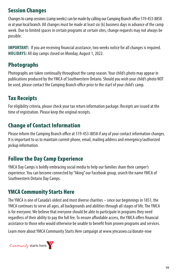## Session Changes

Changes to camp sessions (camp weeks) can be made by calling our Camping Branch office 519-453-8858 or at your local branch. All changes must be made at least six (6) business days in advance of the camp week. Due to limited spaces in certain programs at certain sites, change requests may not always be possible.

**IMPORTANT:** If you are receiving financial assistance, two weeks notice for all changes is required. **HOLIDAYS:** All day camps closed on Monday, August 1, 2022.

# Photographs

Photographs are taken continually throughout the camp season. Your child's photo may appear in publications produced by the YMCA of Southwestern Ontario. Should you wish your child's photo NOT be used, please contact the Camping Branch office prior to the start of your child's camp.

# Tax Receipts

For eligibility criteria, please check your tax return information package. Receipts are issued at the time of registration. Please keep the original receipts.

# Change of Contact Information

Please inform the Camping Branch office at 519-453-8858 if any of your contact information changes. It is important to us to maintain current phone, email, mailing address and emergency/authorized pickup information.

# Follow the Day Camp Experience

YMCA Day Camps is boldly embracing social media to help our families share their camper's experience. You can become connected by "liking" our Facebook group, search the name YMCA of Southwestern Ontario Day Camps.

## YMCA Community Starts Here

The YMCA is one of Canada's oldest and most diverse charities – since our beginnings in 1851, the YMCA continues to serve all ages, all backgrounds and abilities through all stages of life. The YMCA is for everyone. We believe that everyone should be able to participate in programs they need regardless of their ability to pay the full fee. To ensure affordable access, the YMCA offers financial assistance to those who would otherwise be unable to benefit from proven programs and services.

Learn more about YMCA Community Starts Here campaign at www.ymcaswo.ca/donate-now

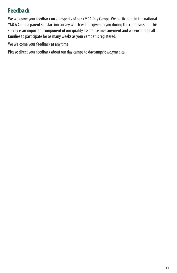## Feedback

We welcome your feedback on all aspects of our YMCA Day Camps. We participate in the national YMCA Canada parent satisfaction survey which will be given to you during the camp session. This survey is an important component of our quality assurance measurement and we encourage all families to participate for as many weeks as your camper is registered.

We welcome your feedback at any time.

Please direct your feedback about our day camps to daycamp@swo.ymca.ca.